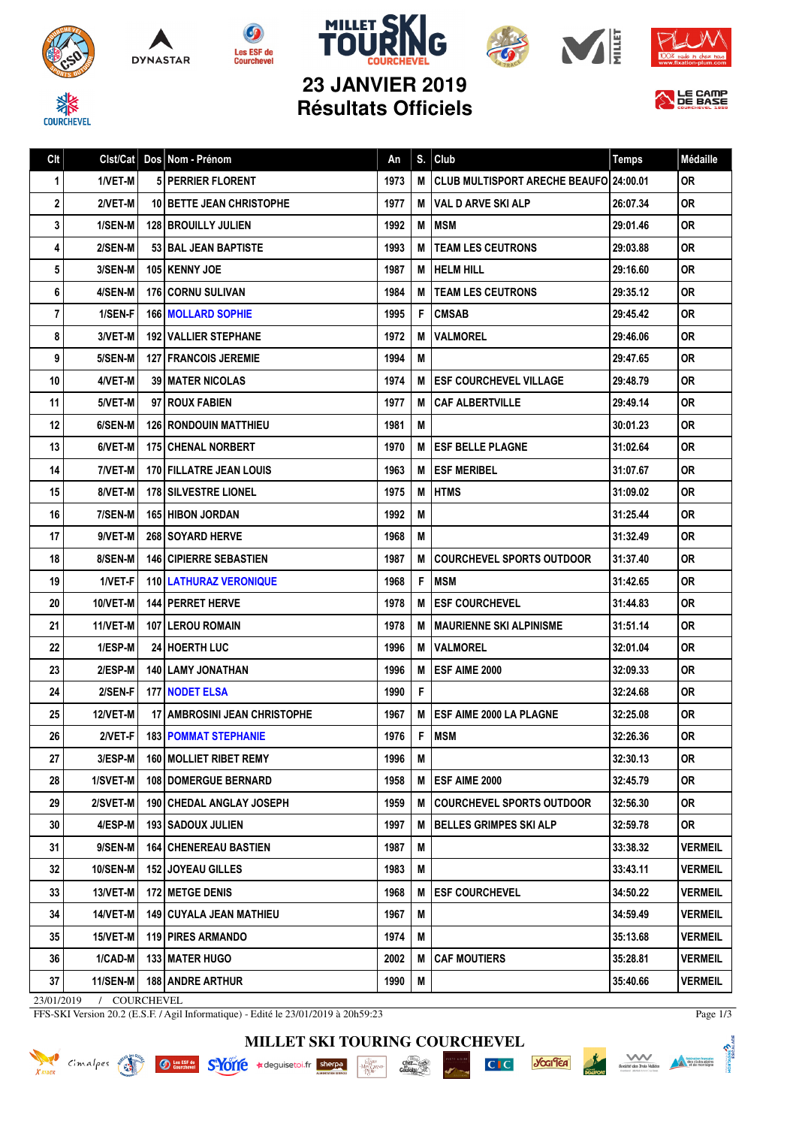









**23 JANVIER 2019 Résultats Officiels**



| Clt                                  | Clst/Cat        |  | Dos Nom - Prénom                    | An   | S. | Club                                   | <b>Temps</b> | Médaille       |
|--------------------------------------|-----------------|--|-------------------------------------|------|----|----------------------------------------|--------------|----------------|
| 1                                    | 1/VET-M         |  | <b>5 PERRIER FLORENT</b>            | 1973 | M  | CLUB MULTISPORT ARECHE BEAUFO 24:00.01 |              | <b>OR</b>      |
| 2                                    | 2/VET-M         |  | <b>10 BETTE JEAN CHRISTOPHE</b>     | 1977 | M  | <b>VAL D ARVE SKI ALP</b>              | 26:07.34     | <b>OR</b>      |
| 3                                    | 1/SEN-M         |  | <b>128 I BROUILLY JULIEN</b>        | 1992 | M  | <b>MSM</b>                             | 29:01.46     | <b>OR</b>      |
| 4                                    | 2/SEN-M         |  | <b>53 BAL JEAN BAPTISTE</b>         | 1993 | M  | <b>TEAM LES CEUTRONS</b>               | 29:03.88     | 0R             |
| 5                                    | 3/SEN-M         |  | <b>105 KENNY JOE</b>                | 1987 | М  | <b>HELM HILL</b>                       | 29:16.60     | <b>OR</b>      |
| 6                                    | 4/SEN-M         |  | <b>176 CORNU SULIVAN</b>            | 1984 | M  | <b>TEAM LES CEUTRONS</b>               | 29:35.12     | <b>OR</b>      |
| 7                                    | 1/SEN-F         |  | <b>166   MOLLARD SOPHIE</b>         | 1995 | F  | <b>CMSAB</b>                           | 29:45.42     | <b>OR</b>      |
| 8                                    | 3/VET-M         |  | <b>192   VALLIER STEPHANE</b>       | 1972 | M  | <b>VALMOREL</b>                        | 29:46.06     | 0R             |
| 9                                    | 5/SEN-M         |  | <b>127 FRANCOIS JEREMIE</b>         | 1994 | M  |                                        | 29:47.65     | <b>OR</b>      |
| 10                                   | 4/VET-M         |  | <b>39   MATER NICOLAS</b>           | 1974 | М  | <b>ESF COURCHEVEL VILLAGE</b>          | 29:48.79     | 0R             |
| 11                                   | 5/VET-M         |  | 97 ROUX FABIEN                      | 1977 | M  | <b>CAF ALBERTVILLE</b>                 | 29:49.14     | <b>OR</b>      |
| 12                                   | 6/SEN-M         |  | <b>126 RONDOUIN MATTHIEU</b>        | 1981 | M  |                                        | 30:01.23     | <b>OR</b>      |
| 13                                   | 6/VET-M         |  | 175 CHENAL NORBERT                  | 1970 | M  | <b>ESF BELLE PLAGNE</b>                | 31:02.64     | <b>OR</b>      |
| 14                                   | 7/VET-M         |  | <b>170 FILLATRE JEAN LOUIS</b>      | 1963 | М  | <b>ESF MERIBEL</b>                     | 31:07.67     | <b>OR</b>      |
| 15                                   | 8/VET-M         |  | <b>178 SILVESTRE LIONEL</b>         | 1975 | M  | <b>HTMS</b>                            | 31:09.02     | <b>OR</b>      |
| 16                                   | 7/SEN-M         |  | <b>165 HIBON JORDAN</b>             | 1992 | M  |                                        | 31:25.44     | 0R             |
| 17                                   | 9/VET-M         |  | <b>268 SOYARD HERVE</b>             | 1968 | M  |                                        | 31:32.49     | 0R             |
| 18                                   | 8/SEN-M         |  | <b>146 CIPIERRE SEBASTIEN</b>       | 1987 | М  | <b>COURCHEVEL SPORTS OUTDOOR</b>       | 31:37.40     | <b>OR</b>      |
| 19                                   | 1/VET-F         |  | 110 LATHURAZ VERONIQUE              | 1968 | F  | <b>MSM</b>                             | 31:42.65     | <b>OR</b>      |
| 20                                   | 10/VET-M        |  | <b>144   PERRET HERVE</b>           | 1978 | M  | <b>ESF COURCHEVEL</b>                  | 31:44.83     | <b>OR</b>      |
| 21                                   | 11/VET-M        |  | <b>107 I LEROU ROMAIN</b>           | 1978 | M  | <b>MAURIENNE SKI ALPINISME</b>         | 31:51.14     | 0R             |
| 22                                   | 1/ESP-M         |  | <b>24 HOERTH LUC</b>                | 1996 | M  | <b>VALMOREL</b>                        | 32:01.04     | <b>OR</b>      |
| 23                                   | 2/ESP-M         |  | 140 LAMY JONATHAN                   | 1996 | M  | <b>ESF AIME 2000</b>                   | 32:09.33     | 0R             |
| 24                                   | 2/SEN-F         |  | <b>177 NODET ELSA</b>               | 1990 | F  |                                        | 32:24.68     | <b>OR</b>      |
| 25                                   | 12/VET-M        |  | <b>17 AMBROSINI JEAN CHRISTOPHE</b> | 1967 | M  | <b>ESF AIME 2000 LA PLAGNE</b>         | 32:25.08     | <b>OR</b>      |
| 26                                   | 2/VET-F         |  | <b>183 POMMAT STEPHANIE</b>         | 1976 | F  | <b>MSM</b>                             | 32:26.36     | <b>OR</b>      |
| 27                                   | 3/ESP-M         |  | 160 MOLLIET RIBET REMY              | 1996 | M  |                                        | 32:30.13     | <b>OR</b>      |
| 28                                   | 1/SVET-M        |  | 108 DOMERGUE BERNARD                | 1958 | M  | <b>ESF AIME 2000</b>                   | 32:45.79     | <b>OR</b>      |
| 29                                   | 2/SVET-M        |  | <b>190 CHEDAL ANGLAY JOSEPH</b>     | 1959 | М  | <b>COURCHEVEL SPORTS OUTDOOR</b>       | 32:56.30     | 0R             |
| 30                                   | 4/ESP-M         |  | <b>193   SADOUX JULIEN</b>          | 1997 | M  | <b>BELLES GRIMPES SKI ALP</b>          | 32:59.78     | <b>OR</b>      |
| 31                                   | 9/SEN-M         |  | <b>164   CHENEREAU BASTIEN</b>      | 1987 | M  |                                        | 33:38.32     | <b>VERMEIL</b> |
| 32                                   | <b>10/SEN-M</b> |  | <b>152 JOYEAU GILLES</b>            | 1983 | М  |                                        | 33:43.11     | <b>VERMEIL</b> |
| 33                                   | 13/VET-M        |  | 172 METGE DENIS                     | 1968 | M  | <b>ESF COURCHEVEL</b>                  | 34:50.22     | <b>VERMEIL</b> |
| 34                                   | <b>14/VET-M</b> |  | 149 CUYALA JEAN MATHIEU             | 1967 | M  |                                        | 34:59.49     | <b>VERMEIL</b> |
| 35                                   | $15/VET-M$      |  | 119 PIRES ARMANDO                   | 1974 | M  |                                        | 35:13.68     | <b>VERMEIL</b> |
| 36                                   | $1/CAD-M$       |  | 133 MATER HUGO                      | 2002 | M  | <b>CAF MOUTIERS</b>                    | 35:28.81     | <b>VERMEIL</b> |
| 37                                   | 11/SEN-M        |  | 188 ANDRE ARTHUR                    | 1990 | M  |                                        | 35:40.66     | <b>VERMEIL</b> |
| COURCHEVEL<br>23/01/2019<br>$\prime$ |                 |  |                                     |      |    |                                        |              |                |

FFS-SKI Version 20.2 (E.S.F. / Agil Informatique) - Edité le 23/01/2019 à 20h59:23

**Ø** tes ESF de S<sup>1</sup>011 e ★ deguisetoi.fr sherpa

**MILLET SKI TOURING COURCHEVEL**

chez...

 $\cdot \frac{\underset{\text{MNN}}{\text{IAM}}}{\underset{\text{PER}}}$ 



Page 1/3

Scotieté des Trets Vallées<br>Consigle des Trets Vallées<br>Californie des montages

*<u>Jocifica*</u>

 $CI C$ 

DNTMONE<sup>2</sup>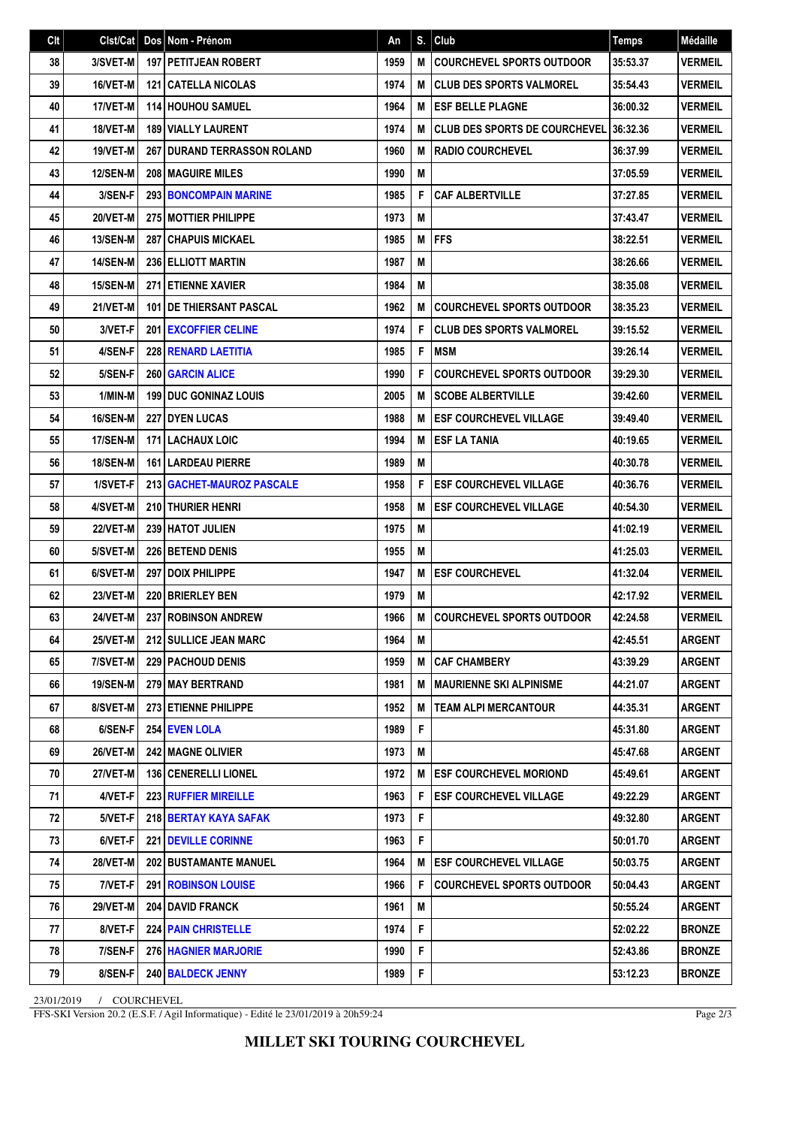| Clt | Clst/Cat        | $\sf{Dos}$ | Nom - Prénom                         | An   | S. | Club                                 | <b>Temps</b> | Médaille       |
|-----|-----------------|------------|--------------------------------------|------|----|--------------------------------------|--------------|----------------|
| 38  | 3/SVET-M        |            | <b>197   PETITJEAN ROBERT</b>        | 1959 | M  | <b>COURCHEVEL SPORTS OUTDOOR</b>     | 35:53.37     | <b>VERMEIL</b> |
| 39  | 16/VET-M        |            | <b>121   CATELLA NICOLAS</b>         | 1974 | M  | <b>CLUB DES SPORTS VALMOREL</b>      | 35:54.43     | <b>VERMEIL</b> |
| 40  | 17/VET-M        |            | <b>114 HOUHOU SAMUEL</b>             | 1964 | M  | <b>ESF BELLE PLAGNE</b>              | 36:00.32     | <b>VERMEIL</b> |
| 41  | 18/VET-M        |            | <b>189 VIALLY LAURENT</b>            | 1974 | M  | <b>CLUB DES SPORTS DE COURCHEVEL</b> | 36:32.36     | <b>VERMEIL</b> |
| 42  | 19/VET-M        |            | <b>267 I DURAND TERRASSON ROLAND</b> | 1960 | M  | <b>RADIO COURCHEVEL</b>              | 36:37.99     | <b>VERMEIL</b> |
| 43  | <b>12/SEN-M</b> |            | <b>208 MAGUIRE MILES</b>             | 1990 | M  |                                      | 37:05.59     | <b>VERMEIL</b> |
| 44  | 3/SEN-F         |            | <b>293 BONCOMPAIN MARINE</b>         | 1985 | F  | <b>CAF ALBERTVILLE</b>               | 37:27.85     | <b>VERMEIL</b> |
| 45  | 20/VET-M        |            | 275 MOTTIER PHILIPPE                 | 1973 | M  |                                      | 37:43.47     | <b>VERMEIL</b> |
| 46  | <b>13/SEN-M</b> |            | <b>287 CHAPUIS MICKAEL</b>           | 1985 | M  | <b>FFS</b>                           | 38:22.51     | <b>VERMEIL</b> |
| 47  | <b>14/SEN-M</b> |            | <b>236 ELLIOTT MARTIN</b>            | 1987 | M  |                                      | 38:26.66     | <b>VERMEIL</b> |
| 48  | <b>15/SEN-M</b> |            | <b>271 ETIENNE XAVIER</b>            | 1984 | M  |                                      | 38:35.08     | <b>VERMEIL</b> |
| 49  | 21/VET-M        |            | <b>101 IDE THIERSANT PASCAL</b>      | 1962 | M  | <b>COURCHEVEL SPORTS OUTDOOR</b>     | 38:35.23     | <b>VERMEIL</b> |
| 50  | 3/VET-F         |            | 201 EXCOFFIER CELINE                 | 1974 | F  | <b>CLUB DES SPORTS VALMOREL</b>      | 39:15.52     | <b>VERMEIL</b> |
| 51  | 4/SEN-F         |            | 228 RENARD LAETITIA                  | 1985 | F  | <b>MSM</b>                           | 39:26.14     | <b>VERMEIL</b> |
| 52  | 5/SEN-F         |            | <b>260 GARCIN ALICE</b>              | 1990 | F  | <b>COURCHEVEL SPORTS OUTDOOR</b>     | 39:29.30     | <b>VERMEIL</b> |
| 53  | 1/MIN-M         |            | <b>199 DUC GONINAZ LOUIS</b>         | 2005 | M  | <b>SCOBE ALBERTVILLE</b>             | 39:42.60     | <b>VERMEIL</b> |
| 54  | 16/SEN-M        |            | 227 DYEN LUCAS                       | 1988 | M  | <b>ESF COURCHEVEL VILLAGE</b>        | 39:49.40     | <b>VERMEIL</b> |
| 55  | <b>17/SEN-M</b> |            | <b>171 LACHAUX LOIC</b>              | 1994 | M  | <b>ESF LA TANIA</b>                  | 40:19.65     | <b>VERMEIL</b> |
| 56  | <b>18/SEN-M</b> |            | <b>161   LARDEAU PIERRE</b>          | 1989 | M  |                                      | 40:30.78     | <b>VERMEIL</b> |
| 57  | 1/SVET-F        |            | 213   GACHET-MAUROZ PASCALE          | 1958 | F  | <b>ESF COURCHEVEL VILLAGE</b>        | 40:36.76     | <b>VERMEIL</b> |
| 58  | 4/SVET-M        |            | 210 THURIER HENRI                    | 1958 | M  | <b>ESF COURCHEVEL VILLAGE</b>        | 40:54.30     | <b>VERMEIL</b> |
| 59  | 22/VET-M        |            | 239 HATOT JULIEN                     | 1975 | M  |                                      | 41:02.19     | <b>VERMEIL</b> |
| 60  | 5/SVET-M        |            | <b>226 BETEND DENIS</b>              | 1955 | M  |                                      | 41:25.03     | <b>VERMEIL</b> |
| 61  | 6/SVET-M        |            | 297   DOIX PHILIPPE                  | 1947 | M  | <b>ESF COURCHEVEL</b>                | 41:32.04     | <b>VERMEIL</b> |
| 62  | 23/VET-M        |            | 220 BRIERLEY BEN                     | 1979 | M  |                                      | 42:17.92     | <b>VERMEIL</b> |
| 63  | 24/VET-M        |            | 237 ROBINSON ANDREW                  | 1966 | M  | <b>COURCHEVEL SPORTS OUTDOOR</b>     | 42:24.58     | <b>VERMEIL</b> |
| 64  | 25/VET-M        |            | 212 SULLICE JEAN MARC                | 1964 | М  |                                      | 42:45.51     | <b>ARGENT</b>  |
| 65  | 7/SVET-M        |            | <b>229 PACHOUD DENIS</b>             | 1959 | M  | <b>CAF CHAMBERY</b>                  | 43:39.29     | ARGENT         |
| 66  | 19/SEN-M        |            | 279 MAY BERTRAND                     | 1981 | M  | <b>MAURIENNE SKI ALPINISME</b>       | 44:21.07     | ARGENT         |
| 67  | 8/SVET-M        |            | 273 ETIENNE PHILIPPE                 | 1952 | M  | <b>TEAM ALPI MERCANTOUR</b>          | 44:35.31     | <b>ARGENT</b>  |
| 68  | 6/SEN-F         |            | 254 EVEN LOLA                        | 1989 | F  |                                      | 45:31.80     | <b>ARGENT</b>  |
| 69  | 26/VET-M        |            | <b>242 MAGNE OLIVIER</b>             | 1973 | М  |                                      | 45:47.68     | <b>ARGENT</b>  |
| 70  | <b>27/VET-M</b> |            | <b>136   CENERELLI LIONEL</b>        | 1972 | M  | <b>ESF COURCHEVEL MORIOND</b>        | 45:49.61     | ARGENT         |
| 71  | 4/VET-F         |            | <b>223 RUFFIER MIREILLE</b>          | 1963 | F  | <b>ESF COURCHEVEL VILLAGE</b>        | 49:22.29     | ARGENT         |
| 72  | 5/VET-F         |            | 218 BERTAY KAYA SAFAK                | 1973 | F  |                                      | 49:32.80     | <b>ARGENT</b>  |
| 73  | 6/VET-F         |            | <b>221   DEVILLE CORINNE</b>         | 1963 | F  |                                      | 50:01.70     | <b>ARGENT</b>  |
| 74  | <b>28/VET-M</b> |            | <b>202 BUSTAMANTE MANUEL</b>         | 1964 | М  | <b>ESF COURCHEVEL VILLAGE</b>        | 50:03.75     | ARGENT         |
| 75  | 7/VET-F         |            | <b>291   ROBINSON LOUISE</b>         | 1966 | F  | <b>COURCHEVEL SPORTS OUTDOOR</b>     | 50:04.43     | ARGENT         |
| 76  | <b>29/VET-M</b> |            | <b>204   DAVID FRANCK</b>            | 1961 | M  |                                      | 50:55.24     | ARGENT         |
| 77  | 8/VET-F         |            | <b>224 PAIN CHRISTELLE</b>           | 1974 | F  |                                      | 52:02.22     | <b>BRONZE</b>  |
| 78  | 7/SEN-F         |            | <b>276 HAGNIER MARJORIE</b>          | 1990 | F  |                                      | 52:43.86     | <b>BRONZE</b>  |
| 79  | 8/SEN-F         |            | 240 BALDECK JENNY                    | 1989 | F  |                                      | 53:12.23     | <b>BRONZE</b>  |

23/01/2019 / COURCHEVEL

FFS-SKI Version 20.2 (E.S.F. / Agil Informatique) - Edité le 23/01/2019 à 20h59:24

Page 2/3

**MILLET SKI TOURING COURCHEVEL**